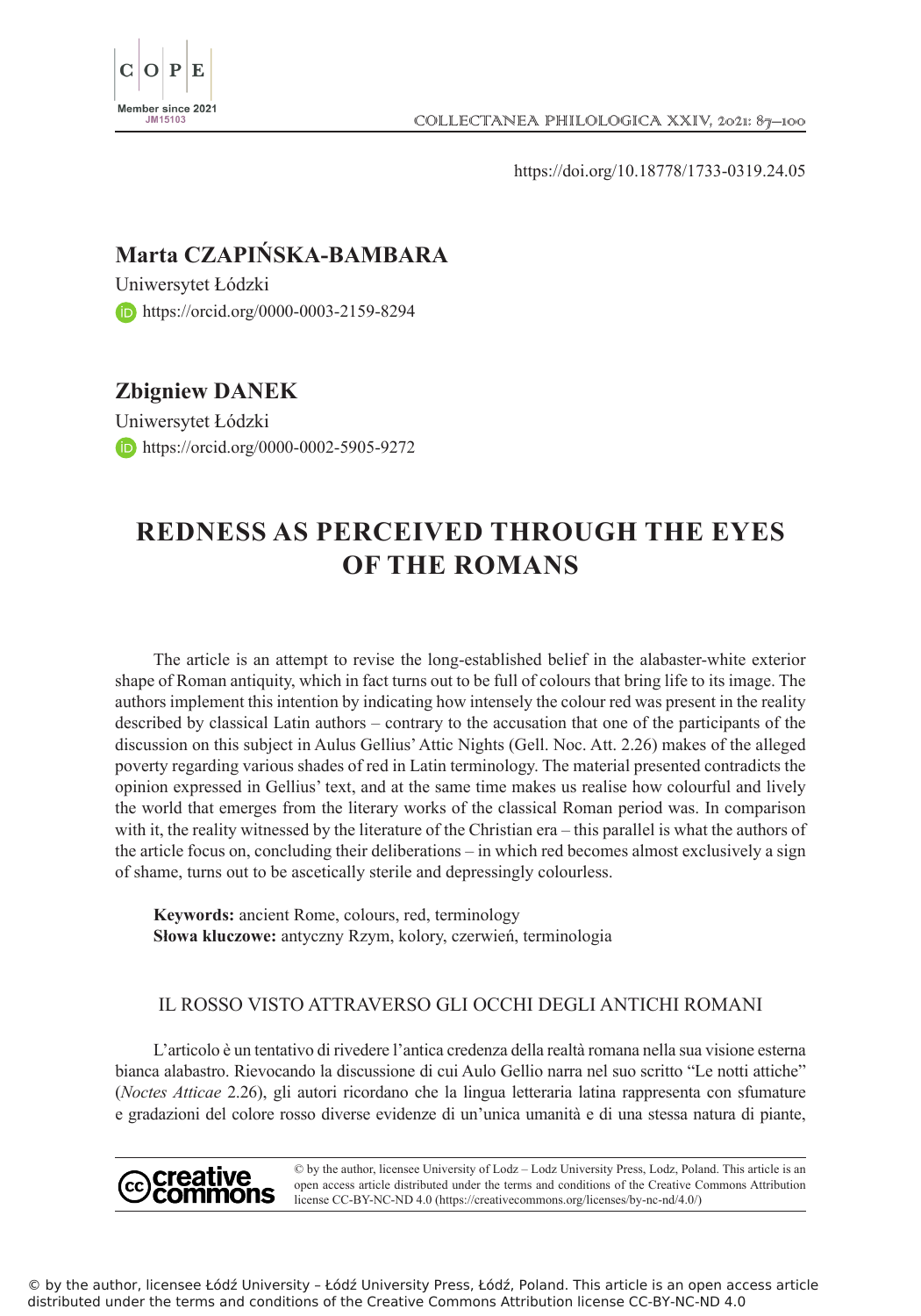

https://doi.org/10.18778/1733-0319.24.05

# **Marta CZAPIŃSKA-BAMBARA**

Uniwersytet Łódzki https://orcid.org/0000-0003-2159-8294

# **Zbigniew DANEK**

Uniwersytet Łódzki **https://orcid.org/0000-0002-5905-9272** 

# **REDNESS AS PERCEIVED THROUGH THE EYES OF THE ROMANS**

The article is an attempt to revise the long-established belief in the alabaster-white exterior shape of Roman antiquity, which in fact turns out to be full of colours that bring life to its image. The authors implement this intention by indicating how intensely the colour red was present in the reality described by classical Latin authors – contrary to the accusation that one of the participants of the discussion on this subject in Aulus Gellius' Attic Nights (Gell. Noc. Att. 2.26) makes of the alleged poverty regarding various shades of red in Latin terminology. The material presented contradicts the opinion expressed in Gellius' text, and at the same time makes us realise how colourful and lively the world that emerges from the literary works of the classical Roman period was. In comparison with it, the reality witnessed by the literature of the Christian era – this parallel is what the authors of the article focus on, concluding their deliberations – in which red becomes almost exclusively a sign of shame, turns out to be ascetically sterile and depressingly colourless.

**Keywords:** ancient Rome, colours, red, terminology **Słowa kluczowe:** antyczny Rzym, kolory, czerwień, terminologia

## IL ROSSO VISTO ATTRAVERSO GLI OCCHI DEGLI ANTICHI ROMANI

L'articolo è un tentativo di rivedere l'antica credenza della realtà romana nella sua visione esterna bianca alabastro. Rievocando la discussione di cui Aulo Gellio narra nel suo scritto "Le notti attiche" (*Noctes Atticae* 2.26), gli autori ricordano che la lingua letteraria latina rappresenta con sfumature e gradazioni del colore rosso diverse evidenze di un'unica umanità e di una stessa natura di piante,

© by the author, licensee University of Lodz – Lodz University Press, Lodz, Poland. This article is an creative open access article distributed under the terms and conditions of the Creative Commons Attribution license CC-BY-NC-ND 4.0 (https://creativecommons.org/licenses/by-nc-nd/4.0/)

© by the author, licensee Łódź University – Łódź University Press, Łódź, Poland. This article is an open access article distributed under the terms and conditions of the Creative Commons Attribution license CC-BY-NC-ND 4.0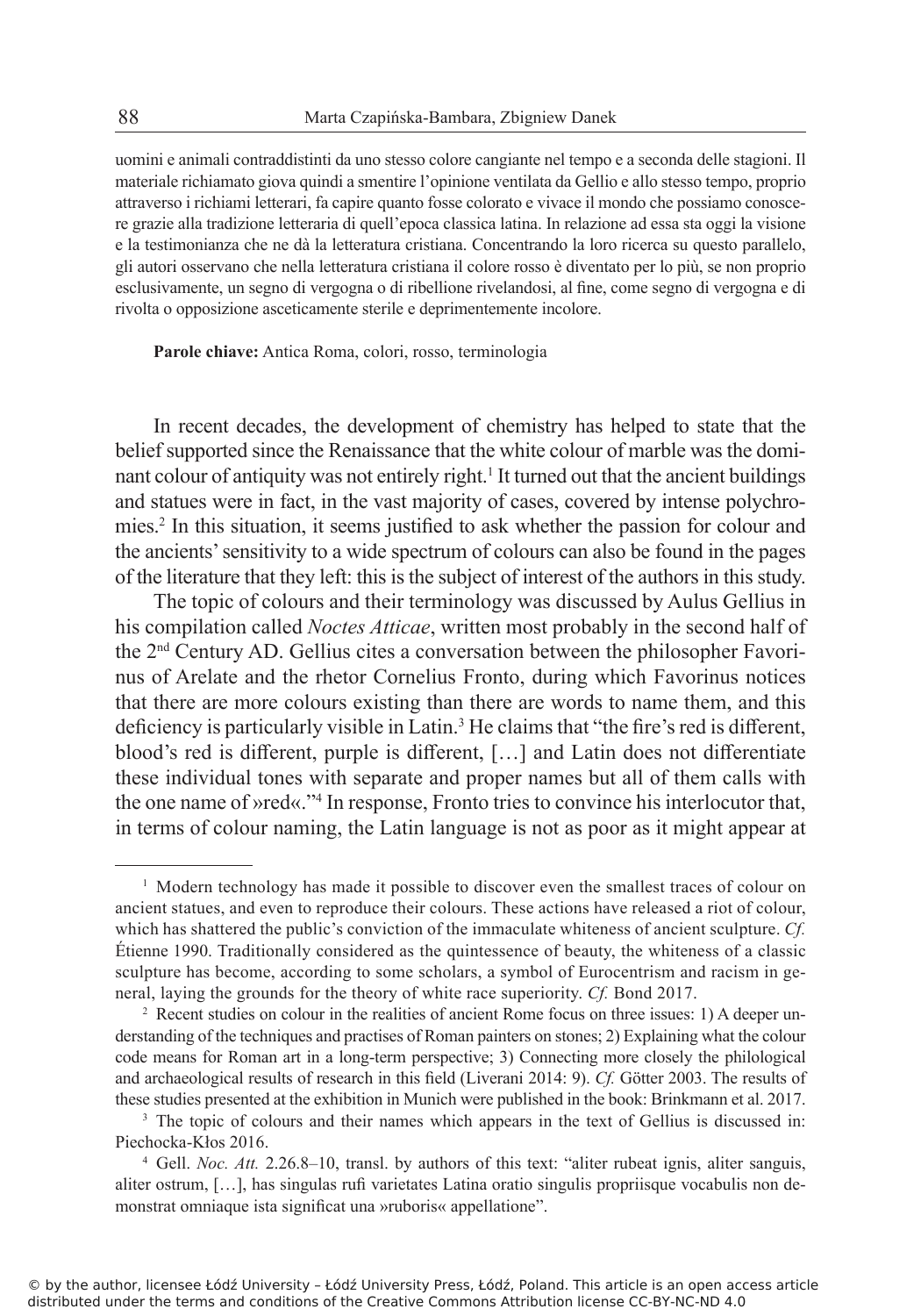uomini e animali contraddistinti da uno stesso colore cangiante nel tempo e a seconda delle stagioni. Il materiale richiamato giova quindi a smentire l'opinione ventilata da Gellio e allo stesso tempo, proprio attraverso i richiami letterari, fa capire quanto fosse colorato e vivace il mondo che possiamo conoscere grazie alla tradizione letteraria di quell'epoca classica latina. In relazione ad essa sta oggi la visione e la testimonianza che ne dà la letteratura cristiana. Concentrando la loro ricerca su questo parallelo, gli autori osservano che nella letteratura cristiana il colore rosso è diventato per lo più, se non proprio esclusivamente, un segno di vergogna o di ribellione rivelandosi, al fine, come segno di vergogna e di rivolta o opposizione asceticamente sterile e deprimentemente incolore.

**Parole chiave:** Antica Roma, colori, rosso, terminologia

In recent decades, the development of chemistry has helped to state that the belief supported since the Renaissance that the white colour of marble was the dominant colour of antiquity was not entirely right.<sup>1</sup> It turned out that the ancient buildings and statues were in fact, in the vast majority of cases, covered by intense polychromies.<sup>2</sup> In this situation, it seems justified to ask whether the passion for colour and the ancients' sensitivity to a wide spectrum of colours can also be found in the pages of the literature that they left: this is the subject of interest of the authors in this study.

The topic of colours and their terminology was discussed by Aulus Gellius in his compilation called *Noctes Atticae*, written most probably in the second half of the 2nd Century AD. Gellius cites a conversation between the philosopher Favorinus of Arelate and the rhetor Cornelius Fronto, during which Favorinus notices that there are more colours existing than there are words to name them, and this deficiency is particularly visible in Latin.<sup>3</sup> He claims that "the fire's red is different, blood's red is different, purple is different, […] and Latin does not differentiate these individual tones with separate and proper names but all of them calls with the one name of »red«."<sup>4</sup> In response, Fronto tries to convince his interlocutor that, in terms of colour naming, the Latin language is not as poor as it might appear at

<sup>1</sup> Modern technology has made it possible to discover even the smallest traces of colour on ancient statues, and even to reproduce their colours. These actions have released a riot of colour, which has shattered the public's conviction of the immaculate whiteness of ancient sculpture. *Cf.* Étienne 1990. Traditionally considered as the quintessence of beauty, the whiteness of a classic sculpture has become, according to some scholars, a symbol of Eurocentrism and racism in general, laying the grounds for the theory of white race superiority. *Cf.* Bond 2017.

<sup>2</sup> Recent studies on colour in the realities of ancient Rome focus on three issues: 1) A deeper understanding of the techniques and practises of Roman painters on stones; 2) Explaining what the colour code means for Roman art in a long-term perspective; 3) Connecting more closely the philological and archaeological results of research in this field (Liverani 2014: 9). *Cf.* Götter 2003. The results of these studies presented at the exhibition in Munich were published in the book: Brinkmann et al. 2017.

<sup>&</sup>lt;sup>3</sup> The topic of colours and their names which appears in the text of Gellius is discussed in: Piechocka-Kłos 2016.

<sup>4</sup> Gell. *Noc. Att.* 2.26.8–10, transl. by authors of this text: "aliter rubeat ignis, aliter sanguis, aliter ostrum, […], has singulas rufi varietates Latina oratio singulis propriisque vocabulis non demonstrat omniaque ista significat una »ruboris« appellatione".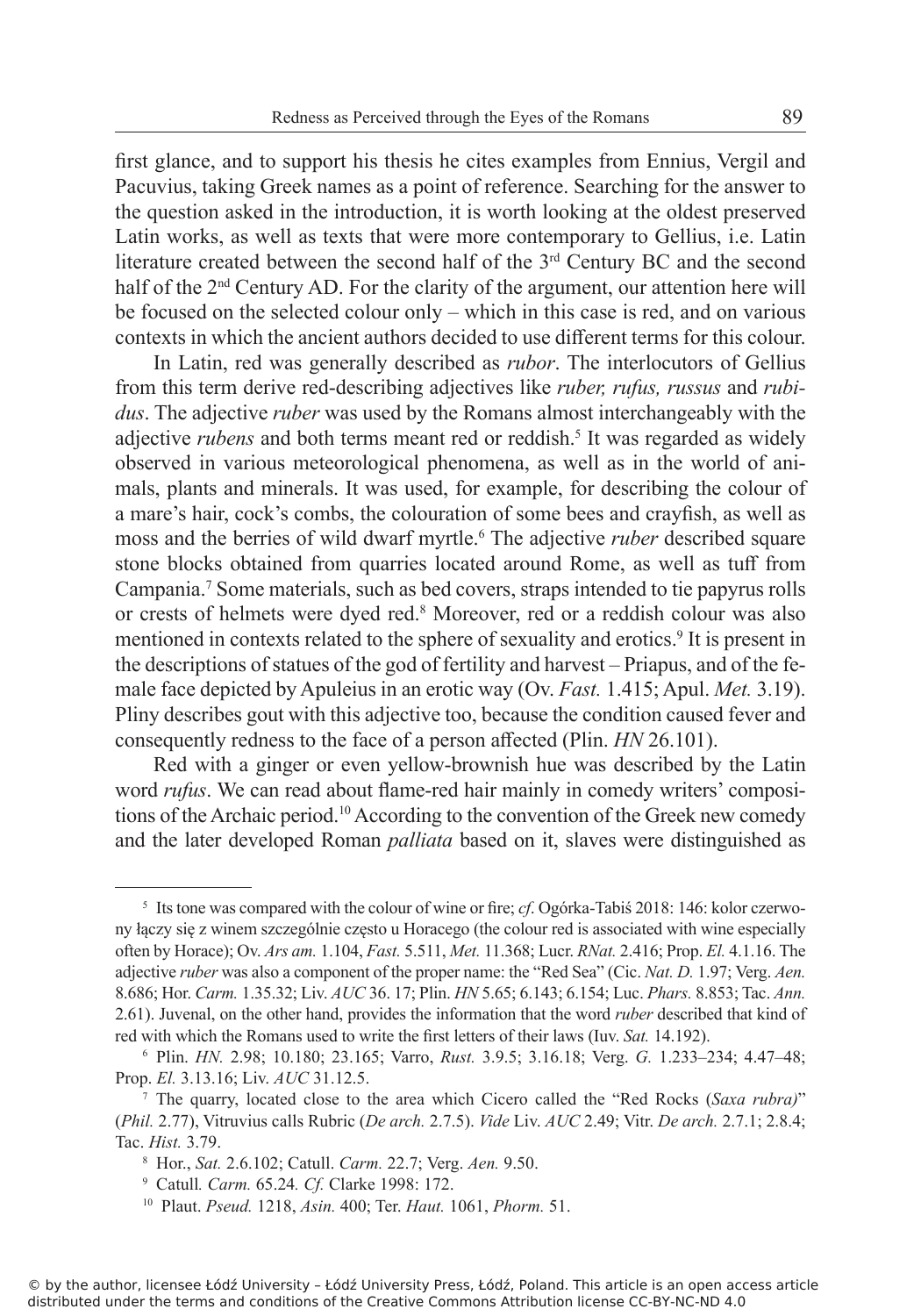first glance, and to support his thesis he cites examples from Ennius, Vergil and Pacuvius, taking Greek names as a point of reference. Searching for the answer to the question asked in the introduction, it is worth looking at the oldest preserved Latin works, as well as texts that were more contemporary to Gellius, i.e. Latin literature created between the second half of the 3<sup>rd</sup> Century BC and the second half of the  $2<sup>nd</sup>$  Century AD. For the clarity of the argument, our attention here will be focused on the selected colour only – which in this case is red, and on various contexts in which the ancient authors decided to use different terms for this colour.

In Latin, red was generally described as *rubor*. The interlocutors of Gellius from this term derive red-describing adjectives like *ruber, rufus, russus* and *rubidus*. The adjective *ruber* was used by the Romans almost interchangeably with the adjective *rubens* and both terms meant red or reddish.<sup>5</sup> It was regarded as widely observed in various meteorological phenomena, as well as in the world of animals, plants and minerals. It was used, for example, for describing the colour of a mare's hair, cock's combs, the colouration of some bees and crayfish, as well as moss and the berries of wild dwarf myrtle.<sup>6</sup> The adjective *ruber* described square stone blocks obtained from quarries located around Rome, as well as tuff from Campania.<sup>7</sup> Some materials, such as bed covers, straps intended to tie papyrus rolls or crests of helmets were dyed red.<sup>8</sup> Moreover, red or a reddish colour was also mentioned in contexts related to the sphere of sexuality and erotics.<sup>9</sup> It is present in the descriptions of statues of the god of fertility and harvest – Priapus, and of the female face depicted by Apuleius in an erotic way (Ov. *Fast.* 1.415; Apul. *Met.* 3.19). Pliny describes gout with this adjective too, because the condition caused fever and consequently redness to the face of a person affected (Plin. *HN* 26.101).

Red with a ginger or even yellow-brownish hue was described by the Latin word *rufus*. We can read about flame-red hair mainly in comedy writers' compositions of the Archaic period.<sup>10</sup> According to the convention of the Greek new comedy and the later developed Roman *palliata* based on it, slaves were distinguished as

<sup>5</sup> Its tone was compared with the colour of wine or fire; *cf*. Ogórka-Tabiś 2018: 146: kolor czerwony łączy się z winem szczególnie często u Horacego (the colour red is associated with wine especially often by Horace); Ov. *Ars am.* 1.104, *Fast.* 5.511, *Met.* 11.368; Lucr. *RNat.* 2.416; Prop. *El.* 4.1.16. The adjective *ruber* was also a component of the proper name: the "Red Sea" (Cic. *Nat. D.* 1.97; Verg. *Aen.*  8.686; Hor. *Carm.* 1.35.32; Liv. *AUC* 36. 17; Plin. *HN* 5.65; 6.143; 6.154; Luc. *Phars.* 8.853; Tac. *Ann.* 2.61). Juvenal, on the other hand, provides the information that the word *ruber* described that kind of red with which the Romans used to write the first letters of their laws (Iuv. *Sat.* 14.192).

<sup>6</sup> Plin. *HN.* 2.98; 10.180; 23.165; Varro, *Rust.* 3.9.5; 3.16.18; Verg. *G.* 1.233–234; 4.47–48; Prop. *El.* 3.13.16; Liv. *AUC* 31.12.5.

<sup>7</sup> The quarry, located close to the area which Cicero called the "Red Rocks (*Saxa rubra)*" (*Phil.* 2.77), Vitruvius calls Rubric (*De arch.* 2.7.5). *Vide* Liv. *AUC* 2.49; Vitr. *De arch.* 2.7.1; 2.8.4; Tac. *Hist.* 3.79.

<sup>8</sup> Hor., *Sat.* 2.6.102; Catull. *Carm.* 22.7; Verg. *Aen.* 9.50.

<sup>9</sup> Catull*. Carm.* 65.24*. Cf.* Clarke 1998: 172.

<sup>10</sup> Plaut. *Pseud.* 1218, *Asin.* 400; Ter. *Haut.* 1061, *Phorm.* 51.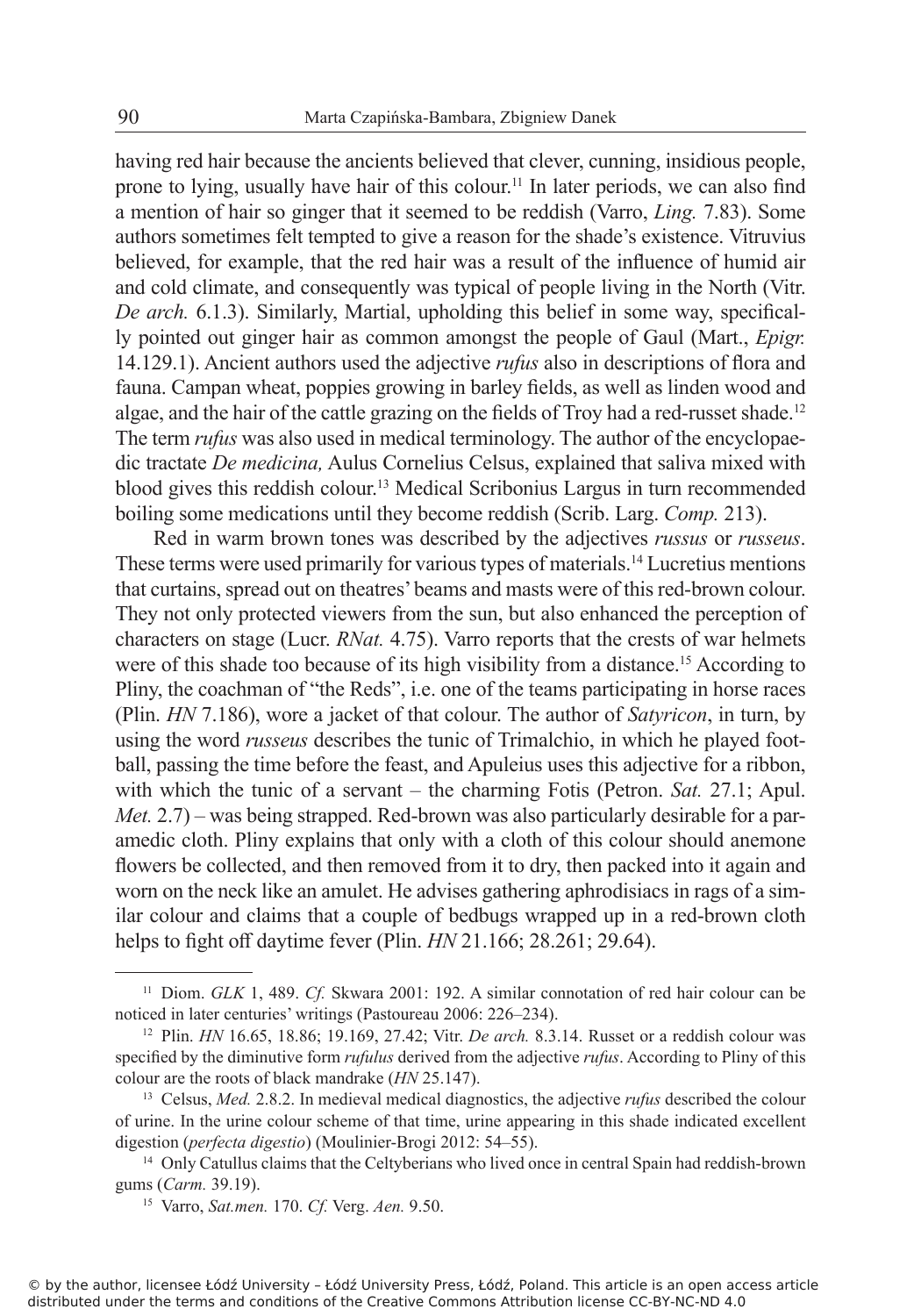having red hair because the ancients believed that clever, cunning, insidious people, prone to lying, usually have hair of this colour.<sup>11</sup> In later periods, we can also find a mention of hair so ginger that it seemed to be reddish (Varro, *Ling.* 7.83). Some authors sometimes felt tempted to give a reason for the shade's existence. Vitruvius believed, for example, that the red hair was a result of the influence of humid air and cold climate, and consequently was typical of people living in the North (Vitr. *De arch.* 6.1.3). Similarly, Martial, upholding this belief in some way, specifically pointed out ginger hair as common amongst the people of Gaul (Mart., *Epigr.*  14.129.1). Ancient authors used the adjective *rufus* also in descriptions of flora and fauna. Campan wheat, poppies growing in barley fields, as well as linden wood and algae, and the hair of the cattle grazing on the fields of Troy had a red-russet shade.<sup>12</sup> The term *rufus* was also used in medical terminology. The author of the encyclopaedic tractate *De medicina,* Aulus Cornelius Celsus, explained that saliva mixed with blood gives this reddish colour.<sup>13</sup> Medical Scribonius Largus in turn recommended boiling some medications until they become reddish (Scrib. Larg. *Comp.* 213).

Red in warm brown tones was described by the adjectives *russus* or *russeus*. These terms were used primarily for various types of materials.<sup>14</sup> Lucretius mentions that curtains, spread out on theatres' beams and masts were of this red-brown colour. They not only protected viewers from the sun, but also enhanced the perception of characters on stage (Lucr. *RNat.* 4.75). Varro reports that the crests of war helmets were of this shade too because of its high visibility from a distance.<sup>15</sup> According to Pliny, the coachman of "the Reds", i.e. one of the teams participating in horse races (Plin. *HN* 7.186), wore a jacket of that colour. The author of *Satyricon*, in turn, by using the word *russeus* describes the tunic of Trimalchio, in which he played football, passing the time before the feast, and Apuleius uses this adjective for a ribbon, with which the tunic of a servant – the charming Fotis (Petron. *Sat.* 27.1; Apul. *Met.* 2.7) – was being strapped. Red-brown was also particularly desirable for a paramedic cloth. Pliny explains that only with a cloth of this colour should anemone flowers be collected, and then removed from it to dry, then packed into it again and worn on the neck like an amulet. He advises gathering aphrodisiacs in rags of a similar colour and claims that a couple of bedbugs wrapped up in a red-brown cloth helps to fight off daytime fever (Plin. *HN* 21.166; 28.261; 29.64).

<sup>11</sup> Diom. *GLK* 1, 489. *Cf.* Skwara 2001: 192. A similar connotation of red hair colour can be noticed in later centuries' writings (Pastoureau 2006: 226–234).

<sup>12</sup> Plin. *HN* 16.65, 18.86; 19.169, 27.42; Vitr. *De arch.* 8.3.14. Russet or a reddish colour was specified by the diminutive form *rufulus* derived from the adjective *rufus*. According to Pliny of this colour are the roots of black mandrake (*HN* 25.147).

<sup>13</sup> Celsus, *Med.* 2.8.2. In medieval medical diagnostics, the adjective *rufus* described the colour of urine. In the urine colour scheme of that time, urine appearing in this shade indicated excellent digestion (*perfecta digestio*) (Moulinier-Brogi 2012: 54–55).

<sup>&</sup>lt;sup>14</sup> Only Catullus claims that the Celtyberians who lived once in central Spain had reddish-brown gums (*Carm.* 39.19).

<sup>15</sup> Varro, *Sat.men.* 170. *Cf.* Verg. *Aen.* 9.50.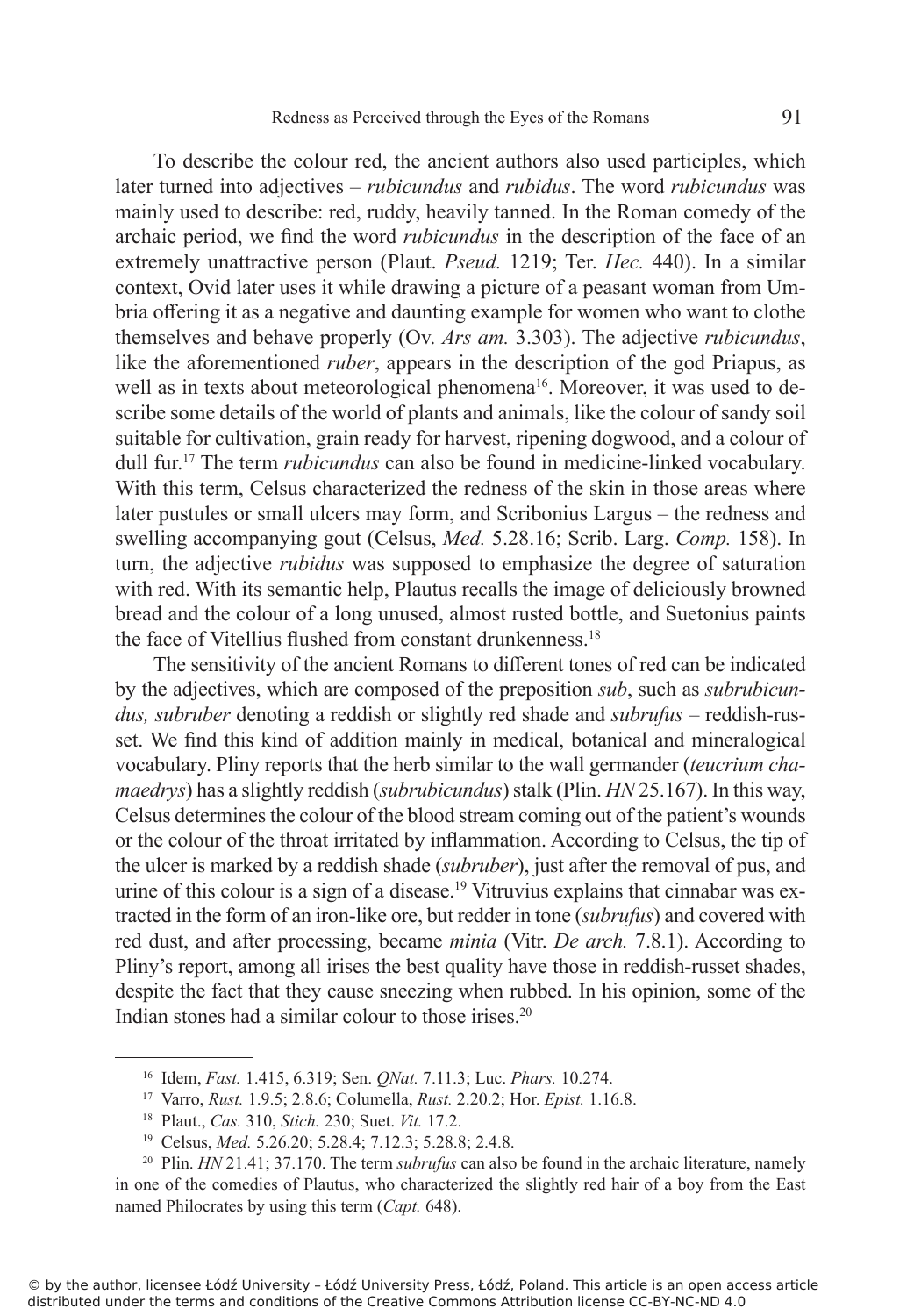To describe the colour red, the ancient authors also used participles, which later turned into adjectives – *rubicundus* and *rubidus*. The word *rubicundus* was mainly used to describe: red, ruddy, heavily tanned. In the Roman comedy of the archaic period, we find the word *rubicundus* in the description of the face of an extremely unattractive person (Plaut. *Pseud.* 1219; Ter. *Hec.* 440). In a similar context, Ovid later uses it while drawing a picture of a peasant woman from Umbria offering it as a negative and daunting example for women who want to clothe themselves and behave properly (Ov. *Ars am.* 3.303). The adjective *rubicundus*, like the aforementioned *ruber*, appears in the description of the god Priapus, as well as in texts about meteorological phenomena<sup>16</sup>. Moreover, it was used to describe some details of the world of plants and animals, like the colour of sandy soil suitable for cultivation, grain ready for harvest, ripening dogwood, and a colour of dull fur.<sup>17</sup> The term *rubicundus* can also be found in medicine-linked vocabulary. With this term, Celsus characterized the redness of the skin in those areas where later pustules or small ulcers may form, and Scribonius Largus – the redness and swelling accompanying gout (Celsus, *Med.* 5.28.16; Scrib. Larg. *Comp.* 158). In turn, the adjective *rubidus* was supposed to emphasize the degree of saturation with red. With its semantic help, Plautus recalls the image of deliciously browned bread and the colour of a long unused, almost rusted bottle, and Suetonius paints the face of Vitellius flushed from constant drunkenness.<sup>18</sup>

The sensitivity of the ancient Romans to different tones of red can be indicated by the adjectives, which are composed of the preposition *sub*, such as *subrubicundus, subruber* denoting a reddish or slightly red shade and *subrufus* – reddish-russet. We find this kind of addition mainly in medical, botanical and mineralogical vocabulary. Pliny reports that the herb similar to the wall germander (*teucrium chamaedrys*) has a slightly reddish (*subrubicundus*) stalk (Plin. *HN* 25.167). In this way, Celsus determines the colour of the blood stream coming out of the patient's wounds or the colour of the throat irritated by inflammation. According to Celsus, the tip of the ulcer is marked by a reddish shade (*subruber*), just after the removal of pus, and urine of this colour is a sign of a disease.<sup>19</sup> Vitruvius explains that cinnabar was extracted in the form of an iron-like ore, but redder in tone (*subrufus*) and covered with red dust, and after processing, became *minia* (Vitr. *De arch.* 7.8.1). According to Pliny's report, among all irises the best quality have those in reddish-russet shades, despite the fact that they cause sneezing when rubbed. In his opinion, some of the Indian stones had a similar colour to those irises.<sup>20</sup>

<sup>16</sup> Idem, *Fast.* 1.415, 6.319; Sen. *QNat.* 7.11.3; Luc. *Phars.* 10.274.

<sup>17</sup> Varro, *Rust.* 1.9.5; 2.8.6; Columella, *Rust.* 2.20.2; Hor. *Epist.* 1.16.8.

<sup>18</sup> Plaut., *Cas.* 310, *Stich.* 230; Suet. *Vit.* 17.2.

<sup>19</sup> Celsus, *Med.* 5.26.20; 5.28.4; 7.12.3; 5.28.8; 2.4.8.

<sup>&</sup>lt;sup>20</sup> Plin. *HN* 21.41; 37.170. The term *subrufus* can also be found in the archaic literature, namely in one of the comedies of Plautus, who characterized the slightly red hair of a boy from the East named Philocrates by using this term (*Capt.* 648).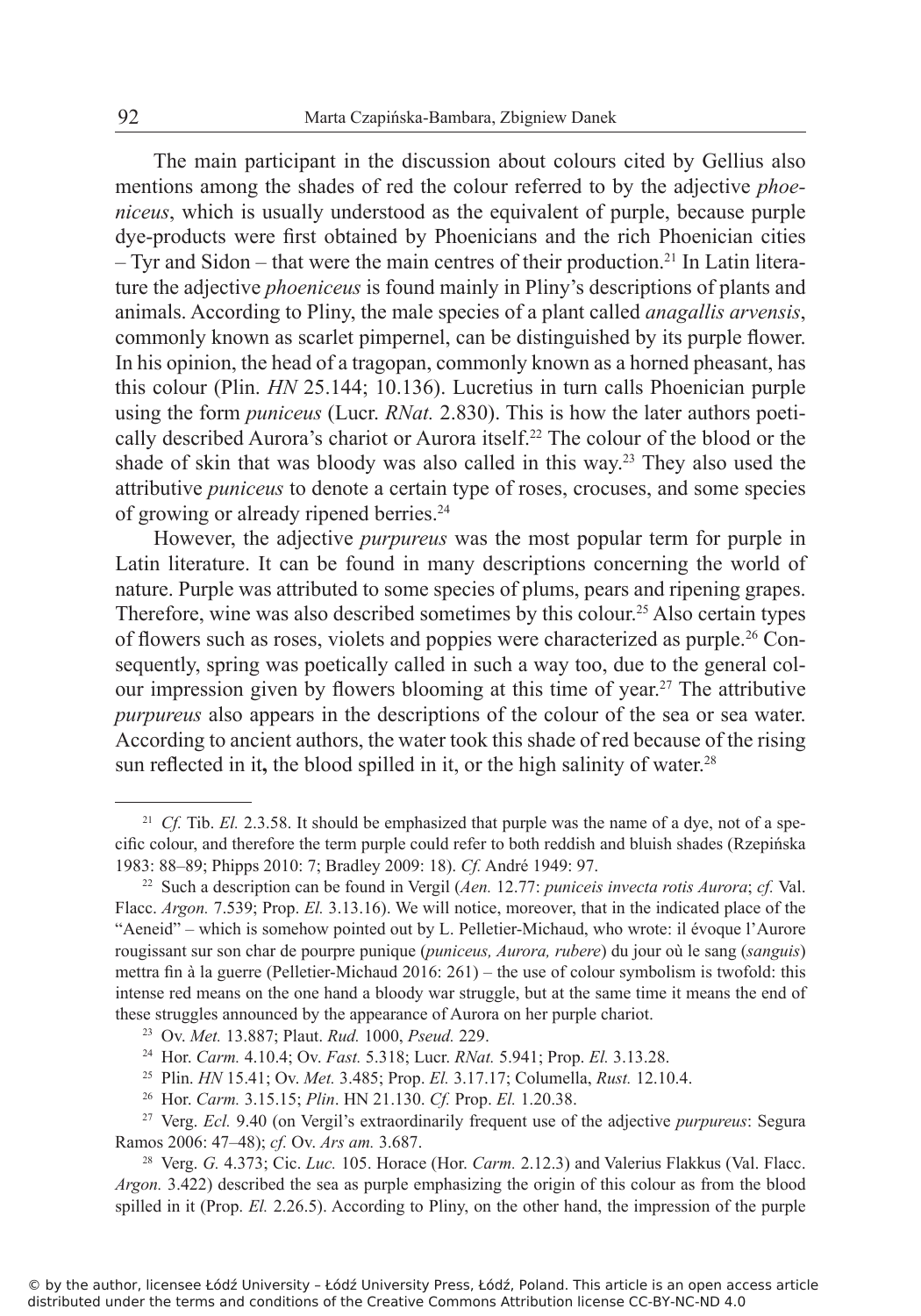The main participant in the discussion about colours cited by Gellius also mentions among the shades of red the colour referred to by the adjective *phoeniceus*, which is usually understood as the equivalent of purple, because purple dye-products were first obtained by Phoenicians and the rich Phoenician cities  $-$  Tyr and Sidon – that were the main centres of their production.<sup>21</sup> In Latin literature the adjective *phoeniceus* is found mainly in Pliny's descriptions of plants and animals. According to Pliny, the male species of a plant called *anagallis arvensis*, commonly known as scarlet pimpernel, can be distinguished by its purple flower. In his opinion, the head of a tragopan, commonly known as a horned pheasant, has this colour (Plin. *HN* 25.144; 10.136). Lucretius in turn calls Phoenician purple using the form *puniceus* (Lucr. *RNat.* 2.830). This is how the later authors poetically described Aurora's chariot or Aurora itself.<sup>22</sup> The colour of the blood or the shade of skin that was bloody was also called in this way.<sup>23</sup> They also used the attributive *puniceus* to denote a certain type of roses, crocuses, and some species of growing or already ripened berries.<sup>24</sup>

However, the adjective *purpureus* was the most popular term for purple in Latin literature. It can be found in many descriptions concerning the world of nature. Purple was attributed to some species of plums, pears and ripening grapes. Therefore, wine was also described sometimes by this colour.<sup>25</sup> Also certain types of flowers such as roses, violets and poppies were characterized as purple.26 Consequently, spring was poetically called in such a way too, due to the general colour impression given by flowers blooming at this time of year.<sup>27</sup> The attributive *purpureus* also appears in the descriptions of the colour of the sea or sea water. According to ancient authors, the water took this shade of red because of the rising sun reflected in it, the blood spilled in it, or the high salinity of water.<sup>28</sup>

<sup>&</sup>lt;sup>21</sup> *Cf.* Tib. *El.* 2.3.58. It should be emphasized that purple was the name of a dye, not of a specific colour, and therefore the term purple could refer to both reddish and bluish shades (Rzepińska 1983: 88–89; Phipps 2010: 7; Bradley 2009: 18). *Cf.* André 1949: 97.

<sup>22</sup> Such a description can be found in Vergil (*Aen.* 12.77: *puniceis invecta rotis Aurora*; *cf.* Val. Flacc. *Argon.* 7.539; Prop. *El.* 3.13.16). We will notice, moreover, that in the indicated place of the "Aeneid" – which is somehow pointed out by L. Pelletier-Michaud, who wrote: il évoque l'Aurore rougissant sur son char de pourpre punique (*puniceus, Aurora, rubere*) du jour où le sang (*sanguis*) mettra fin à la guerre (Pelletier-Michaud 2016: 261) – the use of colour symbolism is twofold: this intense red means on the one hand a bloody war struggle, but at the same time it means the end of these struggles announced by the appearance of Aurora on her purple chariot.

<sup>23</sup> Ov. *Met.* 13.887; Plaut. *Rud.* 1000, *Pseud.* 229.

<sup>24</sup> Hor. *Carm.* 4.10.4; Ov. *Fast.* 5.318; Lucr. *RNat.* 5.941; Prop. *El.* 3.13.28.

<sup>25</sup> Plin. *HN* 15.41; Ov. *Met.* 3.485; Prop. *El.* 3.17.17; Columella, *Rust.* 12.10.4.

<sup>26</sup> Hor. *Carm.* 3.15.15; *Plin*. HN 21.130. *Cf.* Prop. *El.* 1.20.38.

<sup>27</sup> Verg. *Ecl.* 9.40 (on Vergil's extraordinarily frequent use of the adjective *purpureus*: Segura Ramos 2006: 47–48); *cf.* Ov. *Ars am.* 3.687.

<sup>28</sup> Verg. *G.* 4.373; Cic. *Luc.* 105. Horace (Hor. *Carm.* 2.12.3) and Valerius Flakkus (Val. Flacc. *Argon.* 3.422) described the sea as purple emphasizing the origin of this colour as from the blood spilled in it (Prop. *El.* 2.26.5). According to Pliny, on the other hand, the impression of the purple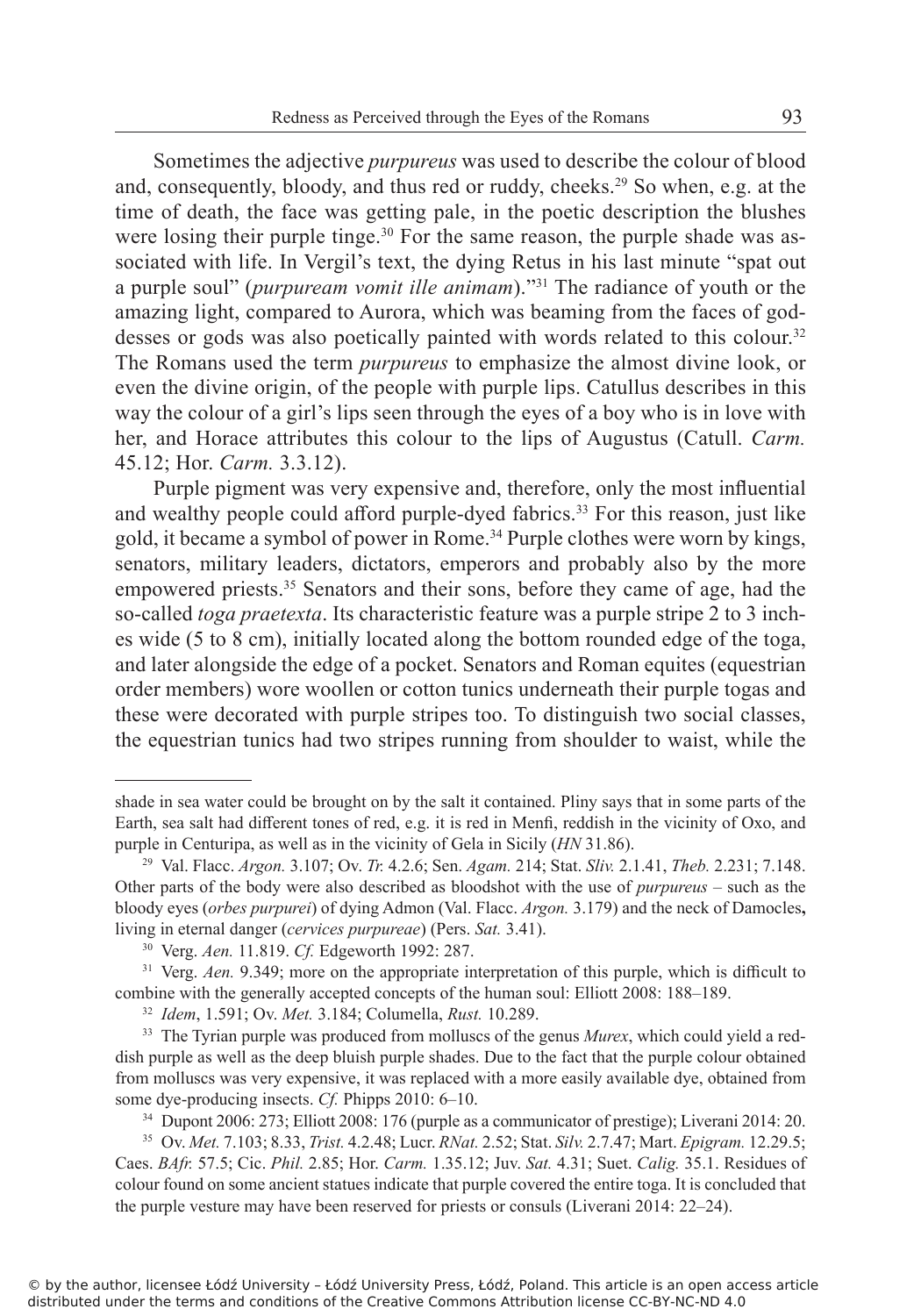Sometimes the adjective *purpureus* was used to describe the colour of blood and, consequently, bloody, and thus red or ruddy, cheeks.<sup>29</sup> So when, e.g. at the time of death, the face was getting pale, in the poetic description the blushes were losing their purple tinge.<sup>30</sup> For the same reason, the purple shade was associated with life. In Vergil's text, the dying Retus in his last minute "spat out a purple soul" (*purpuream vomit ille animam*)."<sup>31</sup> The radiance of youth or the amazing light, compared to Aurora, which was beaming from the faces of goddesses or gods was also poetically painted with words related to this colour.<sup>32</sup> The Romans used the term *purpureus* to emphasize the almost divine look, or even the divine origin, of the people with purple lips. Catullus describes in this way the colour of a girl's lips seen through the eyes of a boy who is in love with her, and Horace attributes this colour to the lips of Augustus (Catull. *Carm.* 45.12; Hor. *Carm.* 3.3.12).

Purple pigment was very expensive and, therefore, only the most influential and wealthy people could afford purple-dyed fabrics.<sup>33</sup> For this reason, just like gold, it became a symbol of power in Rome.<sup>34</sup> Purple clothes were worn by kings, senators, military leaders, dictators, emperors and probably also by the more empowered priests.<sup>35</sup> Senators and their sons, before they came of age, had the so-called *toga praetexta*. Its characteristic feature was a purple stripe 2 to 3 inches wide (5 to 8 cm), initially located along the bottom rounded edge of the toga, and later alongside the edge of a pocket. Senators and Roman equites (equestrian order members) wore woollen or cotton tunics underneath their purple togas and these were decorated with purple stripes too. To distinguish two social classes, the equestrian tunics had two stripes running from shoulder to waist, while the

shade in sea water could be brought on by the salt it contained. Pliny says that in some parts of the Earth, sea salt had different tones of red, e.g. it is red in Menfi, reddish in the vicinity of Oxo, and purple in Centuripa, as well as in the vicinity of Gela in Sicily (*HN* 31.86).

<sup>29</sup> Val. Flacc. *Argon.* 3.107; Ov. *Tr.* 4.2.6; Sen. *Agam.* 214; Stat. *Sliv.* 2.1.41, *Theb.* 2.231; 7.148. Other parts of the body were also described as bloodshot with the use of *purpureus* – such as the bloody eyes (*orbes purpurei*) of dying Admon (Val. Flacc. *Argon.* 3.179) and the neck of Damocles**,** living in eternal danger (*cervices purpureae*) (Pers. *Sat.* 3.41).

<sup>30</sup> Verg. *Aen.* 11.819. *Cf.* Edgeworth 1992: 287.

<sup>&</sup>lt;sup>31</sup> Verg. *Aen.* 9.349; more on the appropriate interpretation of this purple, which is difficult to combine with the generally accepted concepts of the human soul: Elliott 2008: 188–189.

<sup>32</sup> *Idem*, 1.591; Ov. *Met.* 3.184; Columella, *Rust.* 10.289.

<sup>&</sup>lt;sup>33</sup> The Tyrian purple was produced from molluscs of the genus *Murex*, which could yield a reddish purple as well as the deep bluish purple shades. Due to the fact that the purple colour obtained from molluscs was very expensive, it was replaced with a more easily available dye, obtained from some dye-producing insects. *Cf.* Phipps 2010: 6–10.

<sup>34</sup> Dupont 2006: 273; Elliott 2008: 176 (purple as a communicator of prestige); Liverani 2014: 20.

<sup>35</sup> Ov. *Met.* 7.103; 8.33, *Trist.* 4.2.48; Lucr. *RNat.* 2.52; Stat. *Silv.* 2.7.47; Mart. *Epigram.* 12.29.5; Caes. *BAfr.* 57.5; Cic. *Phil.* 2.85; Hor. *Carm.* 1.35.12; Juv. *Sat.* 4.31; Suet. *Calig.* 35.1. Residues of colour found on some ancient statues indicate that purple covered the entire toga. It is concluded that the purple vesture may have been reserved for priests or consuls (Liverani 2014: 22–24).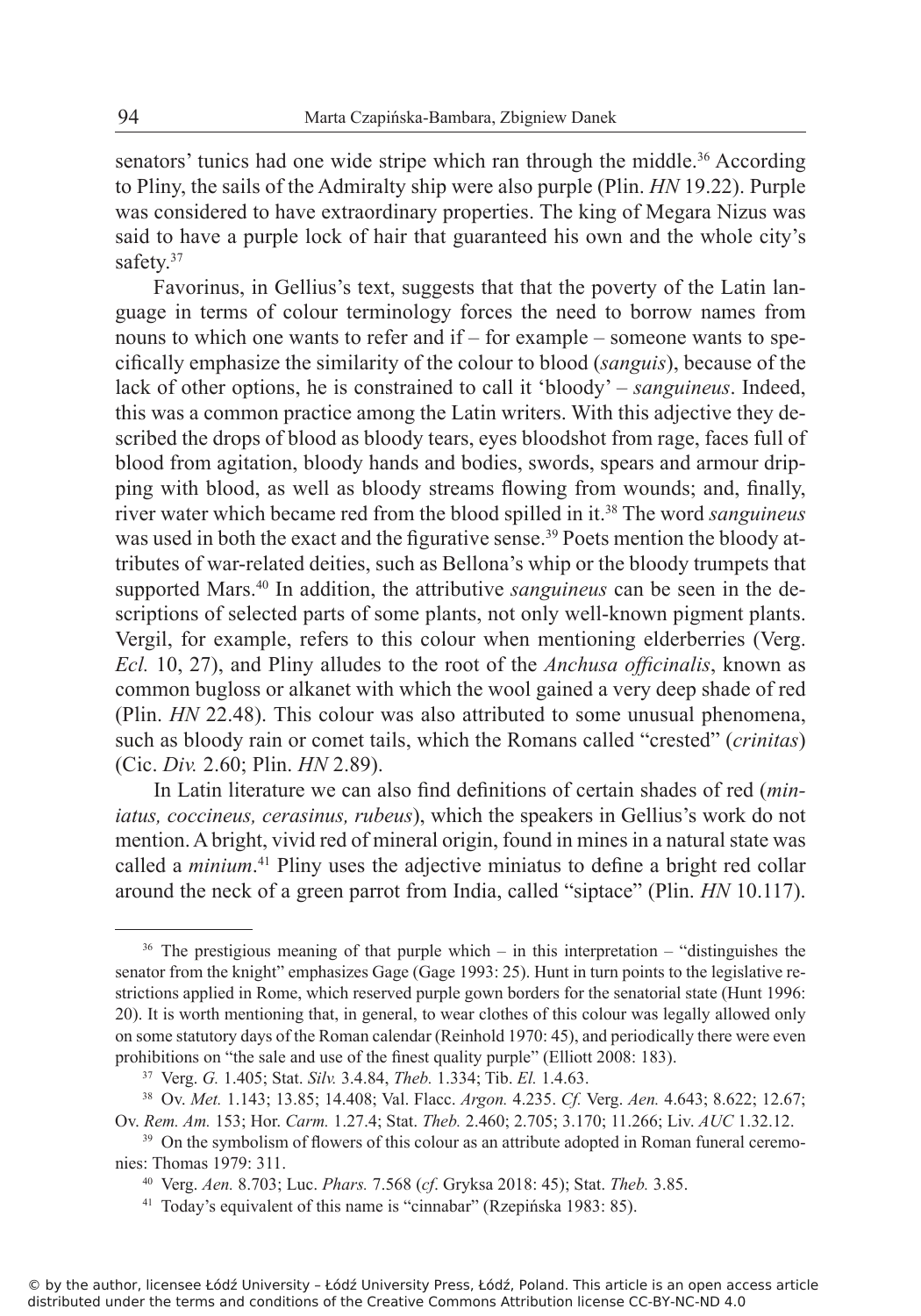senators' tunics had one wide stripe which ran through the middle.<sup>36</sup> According to Pliny, the sails of the Admiralty ship were also purple (Plin. *HN* 19.22). Purple was considered to have extraordinary properties. The king of Megara Nizus was said to have a purple lock of hair that guaranteed his own and the whole city's safety.<sup>37</sup>

Favorinus, in Gellius's text, suggests that that the poverty of the Latin language in terms of colour terminology forces the need to borrow names from nouns to which one wants to refer and if – for example – someone wants to specifically emphasize the similarity of the colour to blood (*sanguis*), because of the lack of other options, he is constrained to call it 'bloody' – *sanguineus*. Indeed, this was a common practice among the Latin writers. With this adjective they described the drops of blood as bloody tears, eyes bloodshot from rage, faces full of blood from agitation, bloody hands and bodies, swords, spears and armour dripping with blood, as well as bloody streams flowing from wounds; and, finally, river water which became red from the blood spilled in it.<sup>38</sup> The word *sanguineus* was used in both the exact and the figurative sense.<sup>39</sup> Poets mention the bloody attributes of war-related deities, such as Bellona's whip or the bloody trumpets that supported Mars.40 In addition, the attributive *sanguineus* can be seen in the descriptions of selected parts of some plants, not only well-known pigment plants. Vergil, for example, refers to this colour when mentioning elderberries (Verg. *Ecl.* 10, 27), and Pliny alludes to the root of the *Anchusa officinalis*, known as common bugloss or alkanet with which the wool gained a very deep shade of red (Plin. *HN* 22.48). This colour was also attributed to some unusual phenomena, such as bloody rain or comet tails, which the Romans called "crested" (*crinitas*) (Cic. *Div.* 2.60; Plin. *HN* 2.89).

In Latin literature we can also find definitions of certain shades of red (*miniatus, coccineus, cerasinus, rubeus*), which the speakers in Gellius's work do not mention. A bright, vivid red of mineral origin, found in mines in a natural state was called a *minium*. <sup>41</sup> Pliny uses the adjective miniatus to define a bright red collar around the neck of a green parrot from India, called "siptace" (Plin. *HN* 10.117).

<sup>&</sup>lt;sup>36</sup> The prestigious meaning of that purple which – in this interpretation – "distinguishes the senator from the knight" emphasizes Gage (Gage 1993: 25). Hunt in turn points to the legislative restrictions applied in Rome, which reserved purple gown borders for the senatorial state (Hunt 1996: 20). It is worth mentioning that, in general, to wear clothes of this colour was legally allowed only on some statutory days of the Roman calendar (Reinhold 1970: 45), and periodically there were even prohibitions on "the sale and use of the finest quality purple" (Elliott 2008: 183).

<sup>37</sup> Verg. *G.* 1.405; Stat. *Silv.* 3.4.84, *Theb.* 1.334; Tib. *El.* 1.4.63.

<sup>38</sup> Ov. *Met.* 1.143; 13.85; 14.408; Val. Flacc. *Argon.* 4.235. *Cf.* Verg. *Aen.* 4.643; 8.622; 12.67; Ov. *Rem. Am.* 153; Hor. *Carm.* 1.27.4; Stat. *Theb.* 2.460; 2.705; 3.170; 11.266; Liv. *AUC* 1.32.12.

<sup>&</sup>lt;sup>39</sup> On the symbolism of flowers of this colour as an attribute adopted in Roman funeral ceremonies: Thomas 1979: 311.

<sup>40</sup> Verg. *Aen.* 8.703; Luc. *Phars.* 7.568 (*cf*. Gryksa 2018: 45); Stat. *Theb.* 3.85.

<sup>41</sup> Today's equivalent of this name is "cinnabar" (Rzepińska 1983: 85).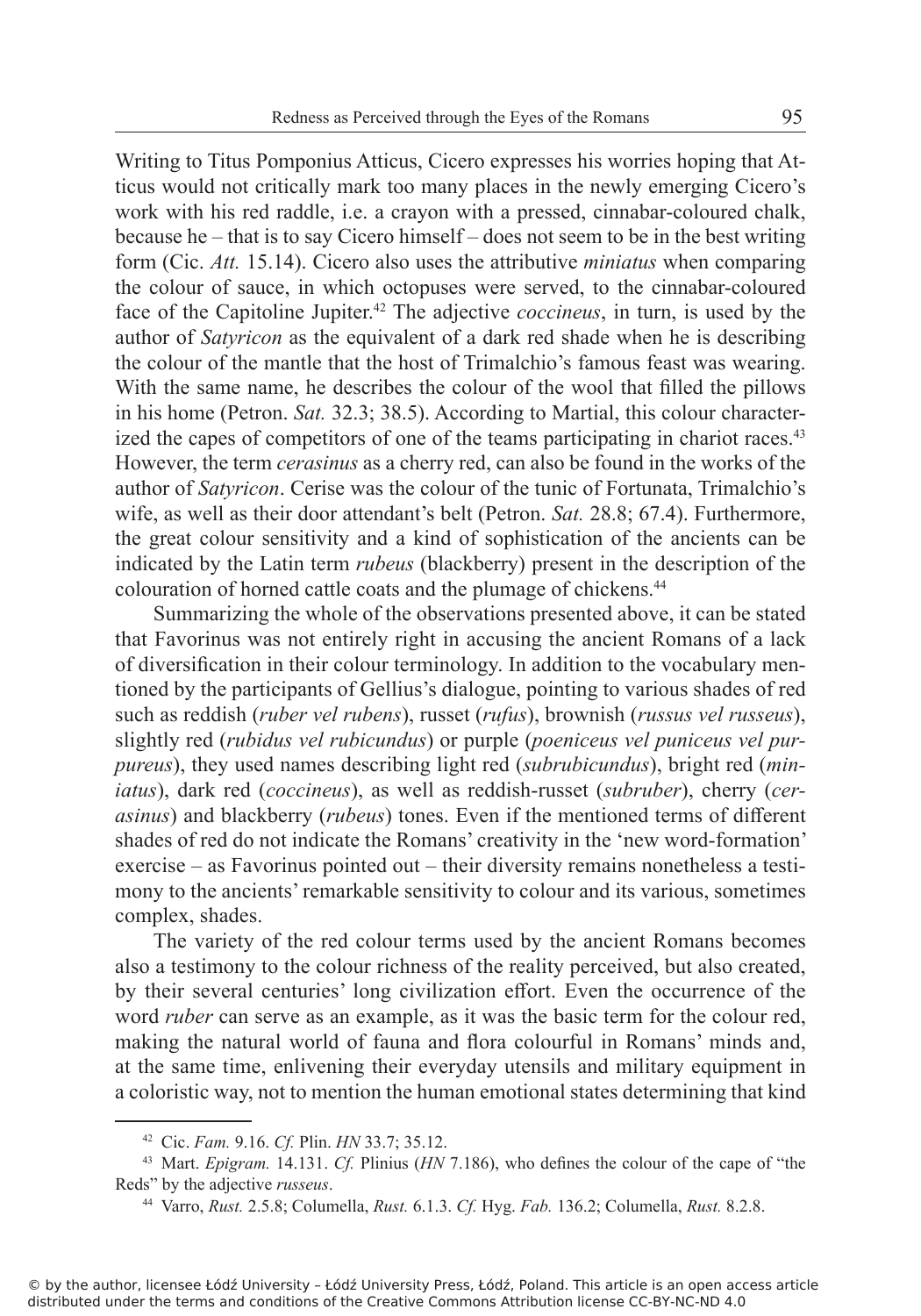Writing to Titus Pomponius Atticus, Cicero expresses his worries hoping that Atticus would not critically mark too many places in the newly emerging Cicero's work with his red raddle, i.e. a crayon with a pressed, cinnabar-coloured chalk, because he – that is to say Cicero himself – does not seem to be in the best writing form (Cic. *Att.* 15.14). Cicero also uses the attributive *miniatus* when comparing the colour of sauce, in which octopuses were served, to the cinnabar-coloured face of the Capitoline Jupiter.<sup>42</sup> The adjective *coccineus*, in turn, is used by the author of *Satyricon* as the equivalent of a dark red shade when he is describing the colour of the mantle that the host of Trimalchio's famous feast was wearing. With the same name, he describes the colour of the wool that filled the pillows in his home (Petron. *Sat.* 32.3; 38.5). According to Martial, this colour characterized the capes of competitors of one of the teams participating in chariot races.<sup>43</sup> However, the term *cerasinus* as a cherry red, can also be found in the works of the author of *Satyricon*. Cerise was the colour of the tunic of Fortunata, Trimalchio's wife, as well as their door attendant's belt (Petron. *Sat.* 28.8; 67.4). Furthermore, the great colour sensitivity and a kind of sophistication of the ancients can be indicated by the Latin term *rubeus* (blackberry) present in the description of the colouration of horned cattle coats and the plumage of chickens.<sup>44</sup>

Summarizing the whole of the observations presented above, it can be stated that Favorinus was not entirely right in accusing the ancient Romans of a lack of diversification in their colour terminology. In addition to the vocabulary mentioned by the participants of Gellius's dialogue, pointing to various shades of red such as reddish (*ruber vel rubens*), russet (*rufus*), brownish (*russus vel russeus*), slightly red (*rubidus vel rubicundus*) or purple (*poeniceus vel puniceus vel purpureus*), they used names describing light red (*subrubicundus*), bright red (*miniatus*), dark red (*coccineus*), as well as reddish-russet (*subruber*), cherry (*cerasinus*) and blackberry (*rubeus*) tones. Even if the mentioned terms of different shades of red do not indicate the Romans' creativity in the 'new word-formation' exercise – as Favorinus pointed out – their diversity remains nonetheless a testimony to the ancients' remarkable sensitivity to colour and its various, sometimes complex, shades.

The variety of the red colour terms used by the ancient Romans becomes also a testimony to the colour richness of the reality perceived, but also created, by their several centuries' long civilization effort. Even the occurrence of the word *ruber* can serve as an example, as it was the basic term for the colour red, making the natural world of fauna and flora colourful in Romans' minds and, at the same time, enlivening their everyday utensils and military equipment in a coloristic way, not to mention the human emotional states determining that kind

<sup>42</sup> Cic. *Fam.* 9.16. *Cf.* Plin. *HN* 33.7; 35.12.

<sup>43</sup> Mart. *Epigram.* 14.131. *Cf.* Plinius (*HN* 7.186), who defines the colour of the cape of "the Reds" by the adjective *russeus*.

<sup>44</sup> Varro, *Rust.* 2.5.8; Columella, *Rust.* 6.1.3. *Cf.* Hyg. *Fab.* 136.2; Columella, *Rust.* 8.2.8.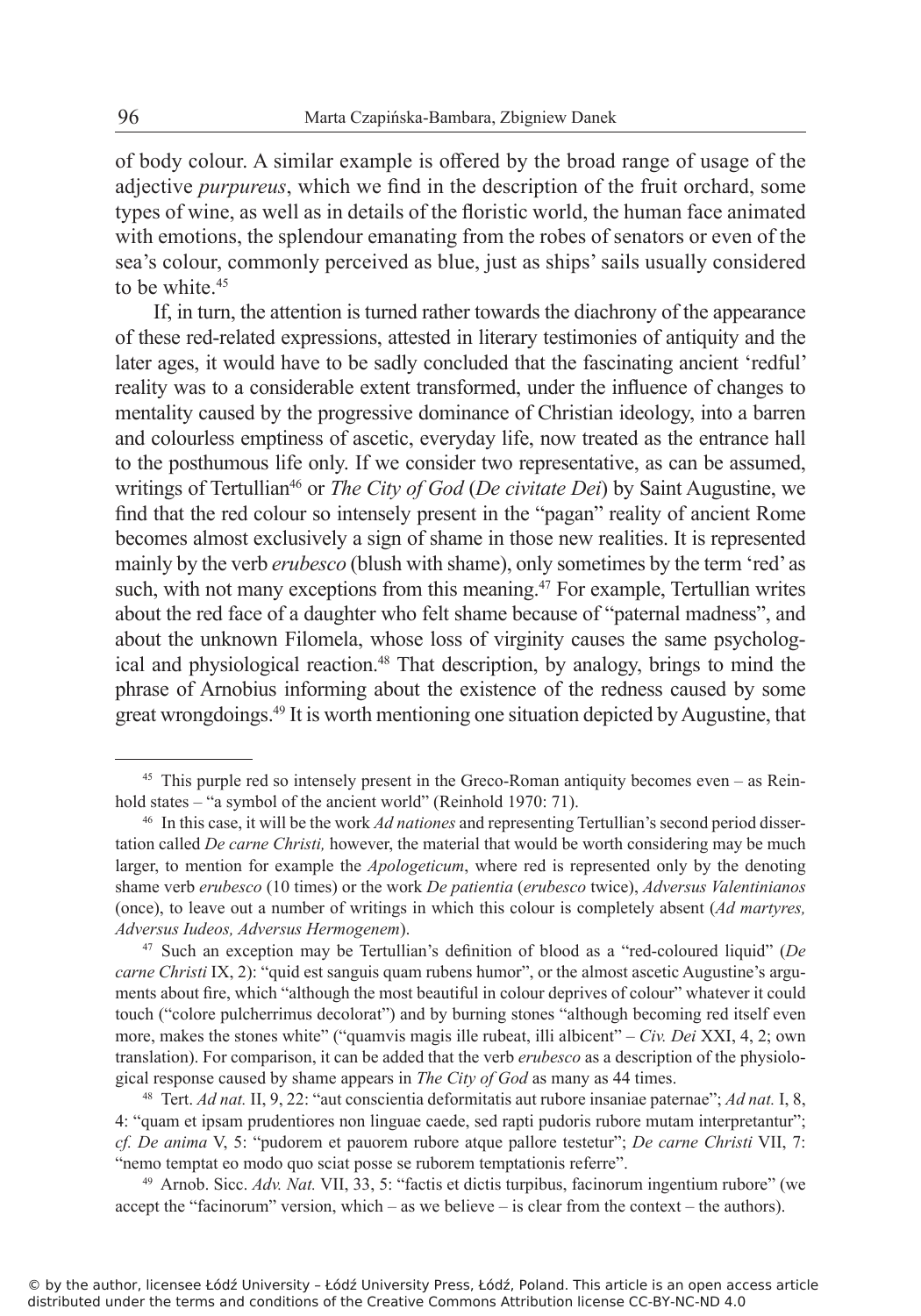of body colour. A similar example is offered by the broad range of usage of the adjective *purpureus*, which we find in the description of the fruit orchard, some types of wine, as well as in details of the floristic world, the human face animated with emotions, the splendour emanating from the robes of senators or even of the sea's colour, commonly perceived as blue, just as ships' sails usually considered to be white.<sup>45</sup>

If, in turn, the attention is turned rather towards the diachrony of the appearance of these red-related expressions, attested in literary testimonies of antiquity and the later ages, it would have to be sadly concluded that the fascinating ancient 'redful' reality was to a considerable extent transformed, under the influence of changes to mentality caused by the progressive dominance of Christian ideology, into a barren and colourless emptiness of ascetic, everyday life, now treated as the entrance hall to the posthumous life only. If we consider two representative, as can be assumed, writings of Tertullian<sup>46</sup> or *The City of God (De civitate Dei*) by Saint Augustine, we find that the red colour so intensely present in the "pagan" reality of ancient Rome becomes almost exclusively a sign of shame in those new realities. It is represented mainly by the verb *erubesco* (blush with shame), only sometimes by the term 'red' as such, with not many exceptions from this meaning.<sup>47</sup> For example, Tertullian writes about the red face of a daughter who felt shame because of "paternal madness", and about the unknown Filomela, whose loss of virginity causes the same psychological and physiological reaction.<sup>48</sup> That description, by analogy, brings to mind the phrase of Arnobius informing about the existence of the redness caused by some great wrongdoings.<sup>49</sup> It is worth mentioning one situation depicted by Augustine, that

<sup>45</sup> This purple red so intensely present in the Greco-Roman antiquity becomes even – as Reinhold states – "a symbol of the ancient world" (Reinhold 1970: 71).

<sup>46</sup> In this case, it will be the work *Ad nationes* and representing Tertullian's second period dissertation called *De carne Christi,* however, the material that would be worth considering may be much larger, to mention for example the *Apologeticum*, where red is represented only by the denoting shame verb *erubesco* (10 times) or the work *De patientia* (*erubesco* twice), *Adversus Valentinianos*  (once), to leave out a number of writings in which this colour is completely absent (*Ad martyres, Adversus Iudeos, Adversus Hermogenem*).

<sup>47</sup> Such an exception may be Tertullian's definition of blood as a "red-coloured liquid" (*De carne Christi* IX, 2): "quid est sanguis quam rubens humor", or the almost ascetic Augustine's arguments about fire, which "although the most beautiful in colour deprives of colour" whatever it could touch ("colore pulcherrimus decolorat") and by burning stones "although becoming red itself even more, makes the stones white" ("quamvis magis ille rubeat, illi albicent" – *Civ. Dei* XXI, 4, 2; own translation). For comparison, it can be added that the verb *erubesco* as a description of the physiological response caused by shame appears in *The City of God* as many as 44 times.

<sup>48</sup> Tert. *Ad nat.* II, 9, 22: "aut conscientia deformitatis aut rubore insaniae paternae"; *Ad nat.* I, 8, 4: "quam et ipsam prudentiores non linguae caede, sed rapti pudoris rubore mutam interpretantur"; *cf. De anima* V, 5: "pudorem et pauorem rubore atque pallore testetur"; *De carne Christi* VII, 7: "nemo temptat eo modo quo sciat posse se ruborem temptationis referre".

<sup>49</sup> Arnob. Sicc. *Adv. Nat.* VII, 33, 5: "factis et dictis turpibus, facinorum ingentium rubore" (we accept the "facinorum" version, which – as we believe – is clear from the context – the authors).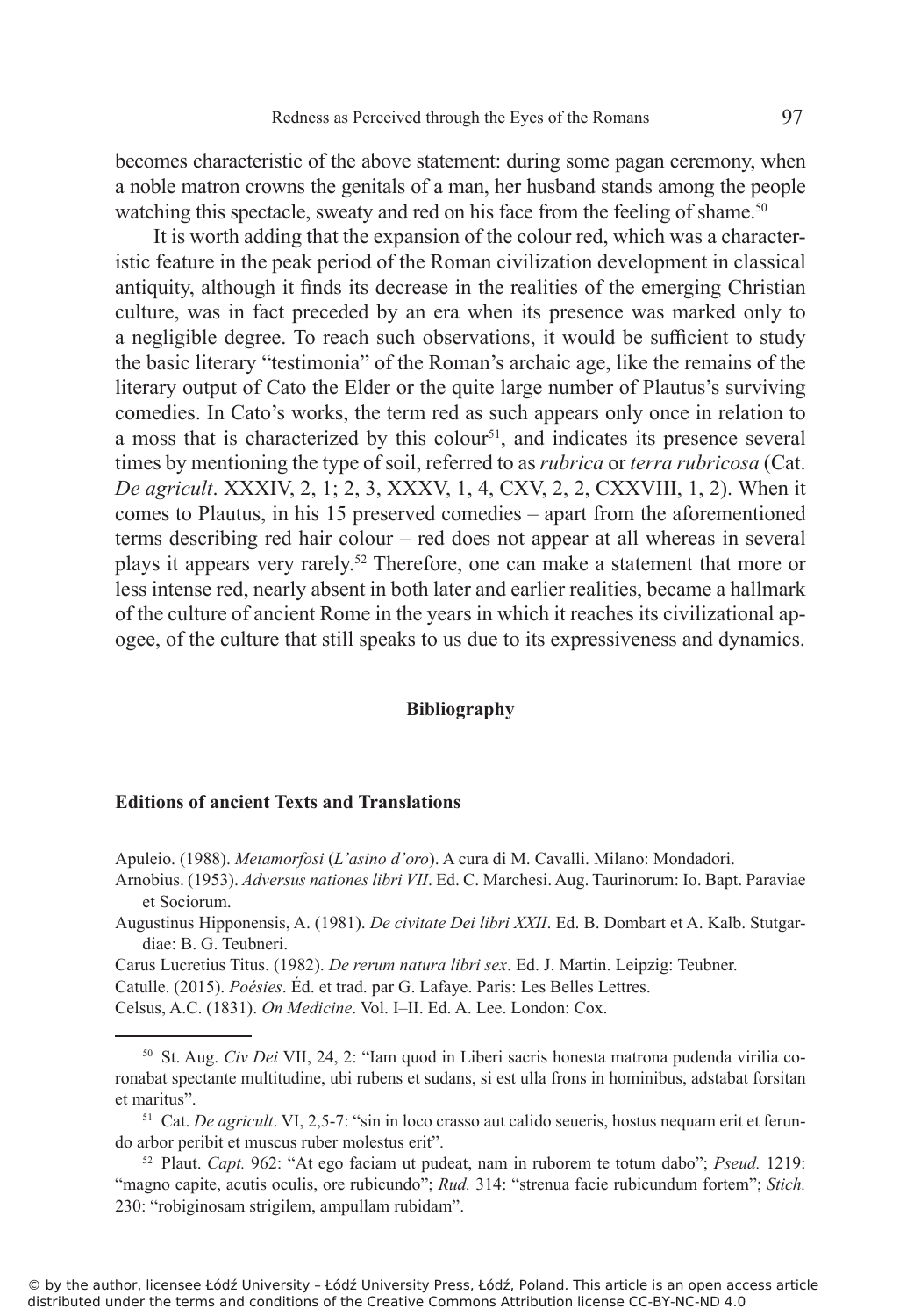becomes characteristic of the above statement: during some pagan ceremony, when a noble matron crowns the genitals of a man, her husband stands among the people watching this spectacle, sweaty and red on his face from the feeling of shame.<sup>50</sup>

It is worth adding that the expansion of the colour red, which was a characteristic feature in the peak period of the Roman civilization development in classical antiquity, although it finds its decrease in the realities of the emerging Christian culture, was in fact preceded by an era when its presence was marked only to a negligible degree. To reach such observations, it would be sufficient to study the basic literary "testimonia" of the Roman's archaic age, like the remains of the literary output of Cato the Elder or the quite large number of Plautus's surviving comedies. In Cato's works, the term red as such appears only once in relation to a moss that is characterized by this colour<sup>51</sup>, and indicates its presence several times by mentioning the type of soil, referred to as *rubrica* or *terra rubricosa* (Cat. *De agricult*. XXXIV, 2, 1; 2, 3, XXXV, 1, 4, CXV, 2, 2, CXXVIII, 1, 2). When it comes to Plautus, in his 15 preserved comedies – apart from the aforementioned terms describing red hair colour – red does not appear at all whereas in several plays it appears very rarely.<sup>52</sup> Therefore, one can make a statement that more or less intense red, nearly absent in both later and earlier realities, became a hallmark of the culture of ancient Rome in the years in which it reaches its civilizational apogee, of the culture that still speaks to us due to its expressiveness and dynamics.

## **Bibliography**

## **Editions of ancient Texts and Translations**

Apuleio. (1988). *Metamorfosi* (*L'asino d'oro*). A cura di M. Cavalli. Milano: Mondadori.

Arnobius. (1953). *Adversus nationes libri VII*. Ed. C. Marchesi. Aug. Taurinorum: Io. Bapt. Paraviae et Sociorum.

Augustinus Hipponensis, A. (1981). *De civitate Dei libri XXII*. Ed. B. Dombart et A. Kalb. Stutgardiae: B. G. Teubneri.

Carus Lucretius Titus. (1982). *De rerum natura libri sex*. Ed. J. Martin. Leipzig: Teubner.

Catulle. (2015). *Poésies*. Éd. et trad. par G. Lafaye. Paris: Les Belles Lettres.

Celsus, A.C. (1831). *On Medicine*. Vol. I‒II. Ed. A. Lee. London: Cox.

51 Cat. *De agricult*. VI, 2,5-7: "sin in loco crasso aut calido seueris, hostus nequam erit et ferundo arbor peribit et muscus ruber molestus erit".

<sup>52</sup> Plaut. *Capt.* 962: "At ego faciam ut pudeat, nam in ruborem te totum dabo"; *Pseud.* 1219: "magno capite, acutis oculis, ore rubicundo"; *Rud.* 314: "strenua facie rubicundum fortem"; *Stich.* 230: "robiginosam strigilem, ampullam rubidam".

<sup>50</sup> St. Aug. *Civ Dei* VII, 24, 2: "Iam quod in Liberi sacris honesta matrona pudenda virilia coronabat spectante multitudine, ubi rubens et sudans, si est ulla frons in hominibus, adstabat forsitan et maritus".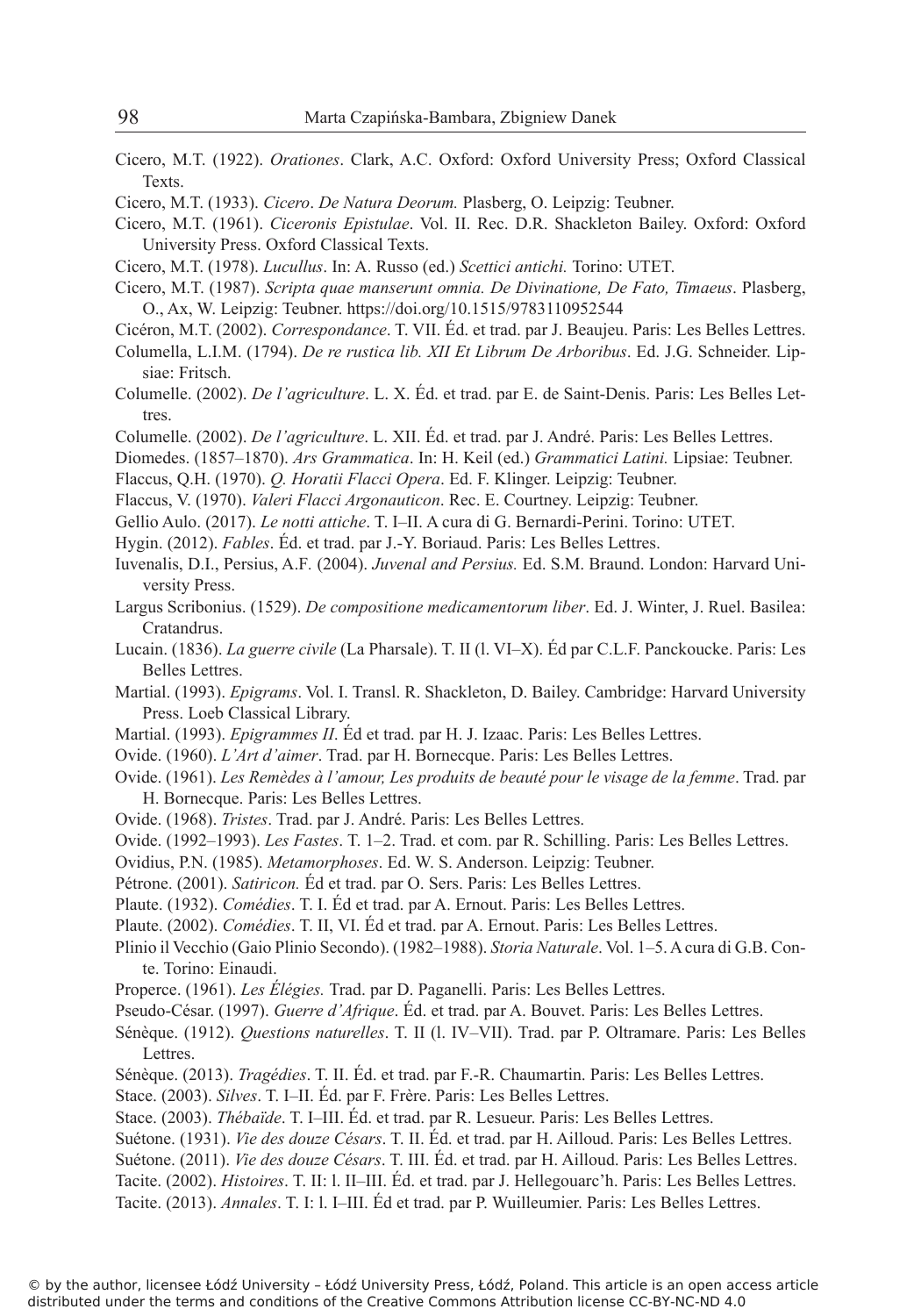- Cicero, M.T. (1922). *Orationes*. Clark, A.C. Oxford: Oxford University Press; Oxford Classical Texts.
- Cicero, M.T. (1933). *Cicero*. *De Natura Deorum.* Plasberg, O. Leipzig: Teubner.

Cicero, M.T. (1961). *Ciceronis Epistulae*. Vol. II. Rec. D.R. Shackleton Bailey. Oxford: Oxford University Press. Oxford Classical Texts.

- Cicero, M.T. (1978). *Lucullus*. In: A. Russo (ed.) *Scettici antichi.* Torino: UTET.
- Cicero, M.T. (1987). *Scripta quae manserunt omnia. De Divinatione, De Fato, Timaeus*. Plasberg, O., Ax, W. Leipzig: Teubner. https://doi.org/10.1515/9783110952544
- Cicéron, M.T. (2002). *Correspondance*. T. VII. Éd. et trad. par J. Beaujeu. Paris: Les Belles Lettres.
- Columella, L.I.M. (1794). *De re rustica lib. XII Et Librum De Arboribus*. Ed. J.G. Schneider. Lipsiae: Fritsch.
- Columelle. (2002). *De l'agriculture*. L. X. Éd. et trad. par E. de Saint-Denis. Paris: Les Belles Lettres.
- Columelle. (2002). *De l'agriculture*. L. XII. Éd. et trad. par J. André. Paris: Les Belles Lettres.
- Diomedes. (1857–1870). *Ars Grammatica*. In: H. Keil (ed.) *Grammatici Latini.* Lipsiae: Teubner.
- Flaccus, Q.H. (1970). *Q. Horatii Flacci Opera*. Ed. F. Klinger. Leipzig: Teubner.
- Flaccus, V. (1970). *Valeri Flacci Argonauticon*. Rec. E. Courtney. Leipzig: Teubner.
- Gellio Aulo. (2017). *Le notti attiche*. T. I–II. A cura di G. Bernardi-Perini. Torino: UTET.
- Hygin. (2012). *Fables*. Éd. et trad. par J.-Y. Boriaud. Paris: Les Belles Lettres.
- Iuvenalis, D.I., Persius, A.F*.* (2004). *Juvenal and Persius.* Ed. S.M. Braund. London: Harvard University Press.
- Largus Scribonius. (1529). *De compositione medicamentorum liber*. Ed. J. Winter, J. Ruel. Basilea: Cratandrus.
- Lucain. (1836). *La guerre civile* (La Pharsale). T. II (l. VI–X). Éd par C.L.F. Panckoucke. Paris: Les Belles Lettres.
- Martial. (1993). *Epigrams*. Vol. I. Transl. R. Shackleton, D. Bailey. Cambridge: Harvard University Press. Loeb Classical Library.
- Martial. (1993). *Epigrammes II*. Éd et trad. par H. J. Izaac. Paris: Les Belles Lettres.
- Ovide. (1960). *L'Art d'aimer*. Trad. par H. Bornecque. Paris: Les Belles Lettres.
- Ovide. (1961). *Les Remèdes à l'amour, Les produits de beauté pour le visage de la femme*. Trad. par H. Bornecque. Paris: Les Belles Lettres.
- Ovide. (1968). *Tristes*. Trad. par J. André. Paris: Les Belles Lettres.
- Ovide. (1992–1993). *Les Fastes*. T. 1–2. Trad. et com. par R. Schilling. Paris: Les Belles Lettres.
- Ovidius, P.N. (1985). *Metamorphoses*. Ed. W. S. Anderson. Leipzig: Teubner.
- Pétrone. (2001). *Satiricon.* Éd et trad. par O. Sers. Paris: Les Belles Lettres.
- Plaute. (1932). *Comédies*. T. I. Éd et trad. par A. Ernout. Paris: Les Belles Lettres.
- Plaute. (2002). *Comédies*. T. II, VI. Éd et trad. par A. Ernout. Paris: Les Belles Lettres.
- Plinio il Vecchio (Gaio Plinio Secondo). (1982–1988). *Storia Naturale*. Vol. 1–5. A cura di G.B. Conte. Torino: Einaudi.
- Properce. (1961). *Les Élégies.* Trad. par D. Paganelli. Paris: Les Belles Lettres.
- Pseudo-César. (1997). *Guerre d'Afrique*. Éd. et trad. par A. Bouvet. Paris: Les Belles Lettres.
- Sénèque. (1912). *Questions naturelles*. T. II (l. IV–VII). Trad. par P. Oltramare. Paris: Les Belles Lettres.
- Sénèque. (2013). *Tragédies*. T. II. Éd. et trad. par F.-R. Chaumartin. Paris: Les Belles Lettres.
- Stace. (2003). *Silves*. T. I–II. Éd. par F. Frère. Paris: Les Belles Lettres.
- Stace. (2003). *Thébaïde*. T. I–III. Éd. et trad. par R. Lesueur. Paris: Les Belles Lettres.
- Suétone. (1931). *Vie des douze Césars*. T. II. Éd. et trad. par H. Ailloud. Paris: Les Belles Lettres.
- Suétone. (2011). *Vie des douze Césars*. T. III. Éd. et trad. par H. Ailloud. Paris: Les Belles Lettres.

Tacite. (2002). *Histoires*. T. II: l. II–III. Éd. et trad. par J. Hellegouarc'h. Paris: Les Belles Lettres.

Tacite. (2013). *Annales*. T. I: l. I–III. Éd et trad. par P. Wuilleumier. Paris: Les Belles Lettres.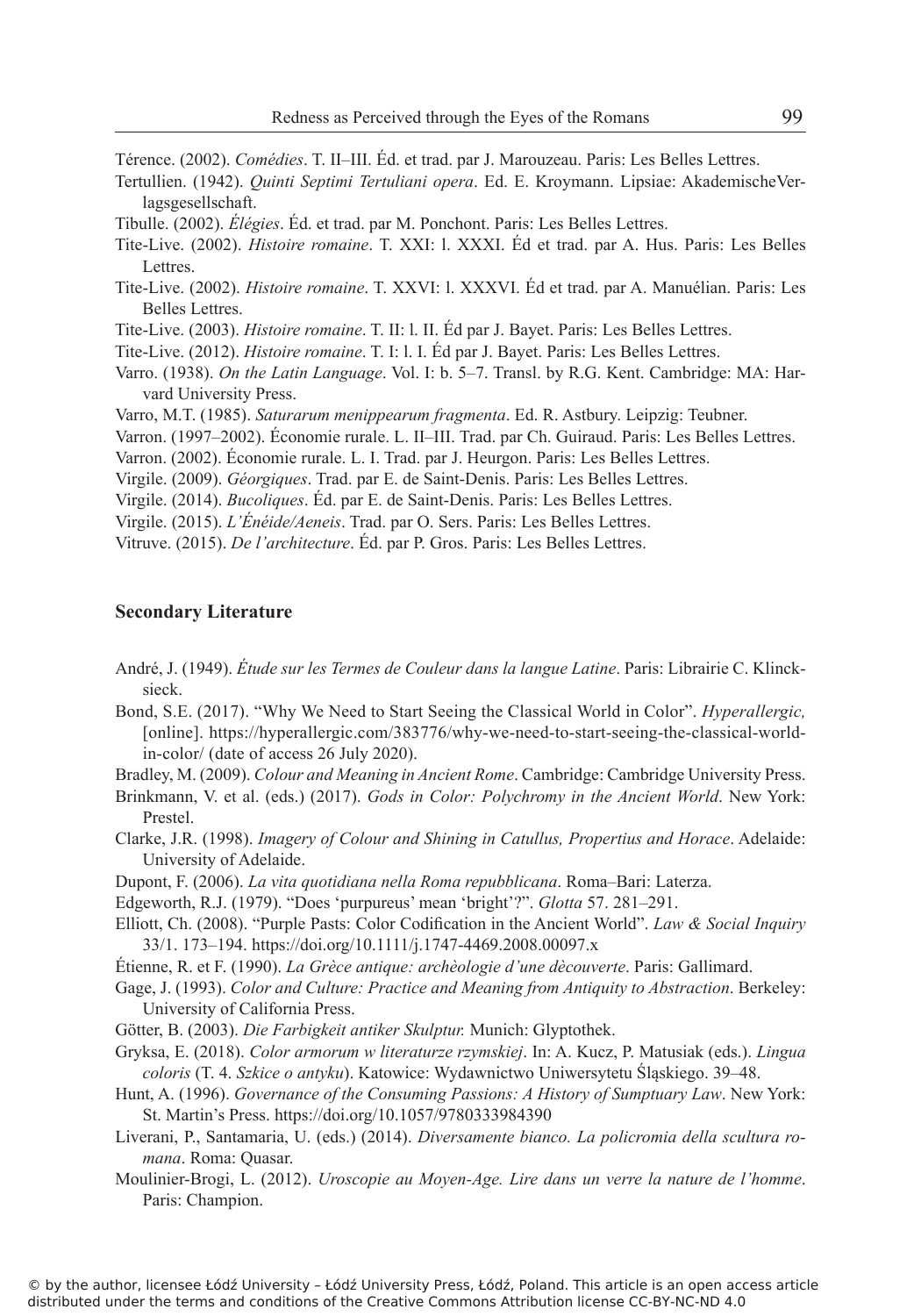Térence. (2002). *Comédies*. T. II–III. Éd. et trad. par J. Marouzeau. Paris: Les Belles Lettres.

- Tertullien. (1942). *Quinti Septimi Tertuliani opera*. Ed. E. Kroymann. Lipsiae: AkademischeVerlagsgesellschaft.
- Tibulle. (2002). *Élégies*. Éd. et trad. par M. Ponchont. Paris: Les Belles Lettres.
- Tite-Live. (2002). *Histoire romaine*. T. XXI: l. XXXI. Éd et trad. par A. Hus. Paris: Les Belles Lettres.
- Tite-Live. (2002). *Histoire romaine*. T. XXVI: l. XXXVI. Éd et trad. par A. Manuélian. Paris: Les Belles Lettres.

Tite-Live. (2003). *Histoire romaine*. T. II: l. II. Éd par J. Bayet. Paris: Les Belles Lettres.

- Tite-Live. (2012). *Histoire romaine*. T. I: l. I. Éd par J. Bayet. Paris: Les Belles Lettres.
- Varro. (1938). *On the Latin Language*. Vol. I: b. 5–7. Transl. by R.G. Kent. Cambridge: MA: Harvard University Press.
- Varro, M.T. (1985). *Saturarum menippearum fragmenta*. Ed. R. Astbury. Leipzig: Teubner.

Varron. (1997–2002). Économie rurale. L. II–III. Trad. par Ch. Guiraud. Paris: Les Belles Lettres.

- Varron. (2002). Économie rurale. L. I. Trad. par J. Heurgon. Paris: Les Belles Lettres.
- Virgile. (2009). *Géorgiques*. Trad. par E. de Saint-Denis. Paris: Les Belles Lettres.
- Virgile. (2014). *Bucoliques*. Éd. par E. de Saint-Denis. Paris: Les Belles Lettres.

Virgile. (2015). *L'Énéide/Aeneis*. Trad. par O. Sers. Paris: Les Belles Lettres.

Vitruve. (2015). *De l'architecture*. Éd. par P. Gros. Paris: Les Belles Lettres.

#### **Secondary Literature**

- André, J. (1949). *Étude sur les Termes de Couleur dans la langue Latine*. Paris: Librairie C. Klincksieck.
- Bond, S.E. (2017). "Why We Need to Start Seeing the Classical World in Color". *Hyperallergic,*  [online]. https://hyperallergic.com/383776/why-we-need-to-start-seeing-the-classical-worldin-color/ (date of access 26 July 2020).

Bradley, M. (2009). *Colour and Meaning in Ancient Rome*. Cambridge: Cambridge University Press.

- Brinkmann, V. et al. (eds.) (2017). *Gods in Color: Polychromy in the Ancient World*. New York: Prestel.
- Clarke, J.R. (1998). *Imagery of Colour and Shining in Catullus, Propertius and Horace*. Adelaide: University of Adelaide.
- Dupont, F. (2006). *La vita quotidiana nella Roma repubblicana*. Roma–Bari: Laterza.
- Edgeworth, R.J. (1979). "Does 'purpureus' mean 'bright'?". *Glotta* 57. 281–291.
- Elliott, Ch. (2008). "Purple Pasts: Color Codification in the Ancient World". *Law & Social Inquiry* 33/1. 173–194. https://doi.org/10.1111/j.1747-4469.2008.00097.x
- Étienne, R. et F. (1990). *La Grèce antique: archèologie d'une dècouverte*. Paris: Gallimard.
- Gage, J. (1993). *Color and Culture: Practice and Meaning from Antiquity to Abstraction*. Berkeley: University of California Press.
- Götter, B. (2003). *Die Farbigkeit antiker Skulptur.* Munich: Glyptothek.
- Gryksa, E. (2018). *Color armorum w literaturze rzymskiej*. In: A. Kucz, P. Matusiak (eds.). *Lingua coloris* (T. 4. *Szkice o antyku*). Katowice: Wydawnictwo Uniwersytetu Śląskiego. 39–48.
- Hunt, A. (1996). *Governance of the Consuming Passions: A History of Sumptuary Law*. New York: St. Martin's Press. https://doi.org/10.1057/9780333984390
- Liverani, P., Santamaria, U. (eds.) (2014). *Diversamente bianco. La policromia della scultura romana*. Roma: Quasar.
- Moulinier-Brogi, L. (2012). *Uroscopie au Moyen-Age. Lire dans un verre la nature de l'homme*. Paris: Champion.